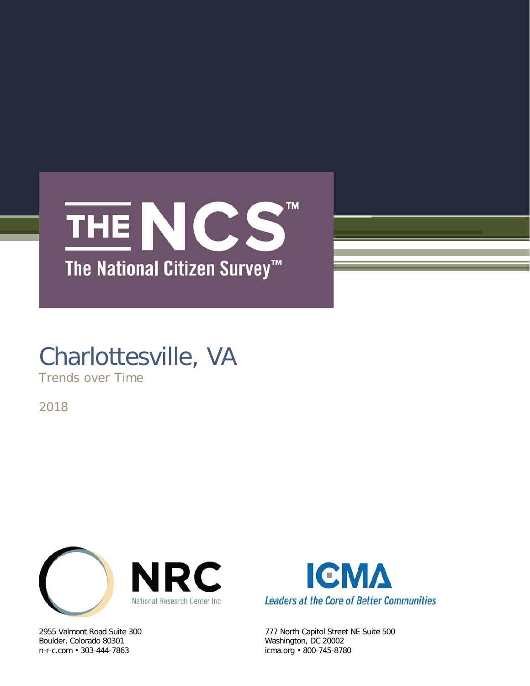

# Charlottesville, VA

Trends over Time

2018



Boulder, Colorado 80301 Washington, DC 20002



2955 Valmont Road Suite 300 777 North Capitol Street NE Suite 500 icma.org • 800-745-8780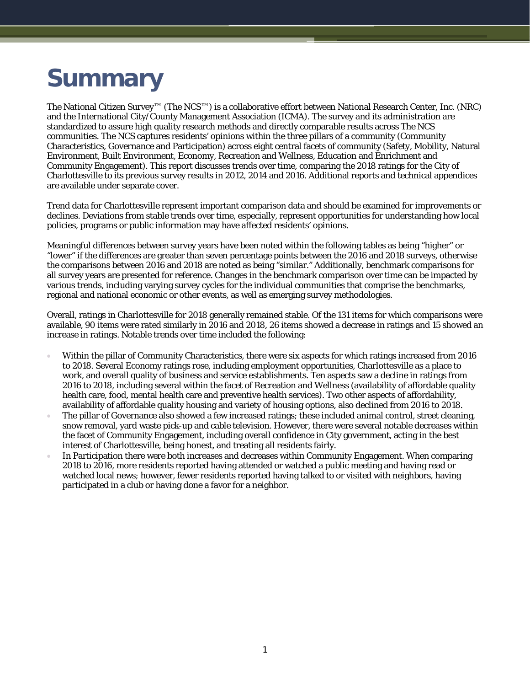# **Summary**

The National Citizen Survey™ (The NCS™) is a collaborative effort between National Research Center, Inc. (NRC) and the International City/County Management Association (ICMA). The survey and its administration are standardized to assure high quality research methods and directly comparable results across The NCS communities. The NCS captures residents' opinions within the three pillars of a community (Community Characteristics, Governance and Participation) across eight central facets of community (Safety, Mobility, Natural Environment, Built Environment, Economy, Recreation and Wellness, Education and Enrichment and Community Engagement). This report discusses trends over time, comparing the 2018 ratings for the City of Charlottesville to its previous survey results in 2012, 2014 and 2016. Additional reports and technical appendices are available under separate cover.

Trend data for Charlottesville represent important comparison data and should be examined for improvements or declines. Deviations from stable trends over time, especially, represent opportunities for understanding how local policies, programs or public information may have affected residents' opinions.

Meaningful differences between survey years have been noted within the following tables as being "higher" or "lower" if the differences are greater than seven percentage points between the 2016 and 2018 surveys, otherwise the comparisons between 2016 and 2018 are noted as being "similar." Additionally, benchmark comparisons for all survey years are presented for reference. Changes in the benchmark comparison over time can be impacted by various trends, including varying survey cycles for the individual communities that comprise the benchmarks, regional and national economic or other events, as well as emerging survey methodologies.

Overall, ratings in Charlottesville for 2018 generally remained stable. Of the 131 items for which comparisons were available, 90 items were rated similarly in 2016 and 2018, 26 items showed a decrease in ratings and 15 showed an increase in ratings. Notable trends over time included the following:

- Within the pillar of Community Characteristics, there were six aspects for which ratings increased from 2016 to 2018. Several Economy ratings rose, including employment opportunities, Charlottesville as a place to work, and overall quality of business and service establishments. Ten aspects saw a decline in ratings from 2016 to 2018, including several within the facet of Recreation and Wellness (availability of affordable quality health care, food, mental health care and preventive health services). Two other aspects of affordability, availability of affordable quality housing and variety of housing options, also declined from 2016 to 2018.
- The pillar of Governance also showed a few increased ratings; these included animal control, street cleaning, snow removal, yard waste pick-up and cable television. However, there were several notable decreases within the facet of Community Engagement, including overall confidence in City government, acting in the best interest of Charlottesville, being honest, and treating all residents fairly.
- In Participation there were both increases and decreases within Community Engagement. When comparing 2018 to 2016, more residents reported having attended or watched a public meeting and having read or watched local news; however, fewer residents reported having talked to or visited with neighbors, having participated in a club or having done a favor for a neighbor.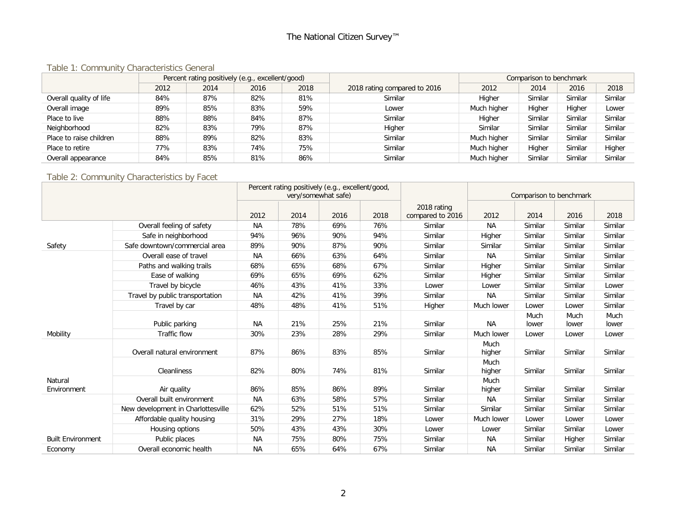# The National Citizen Survey™

#### Table 1: Community Characteristics General

|                         | Percent rating positively (e.g., excellent/good) |      |      |      |                              | Comparison to benchmark |         |         |         |  |
|-------------------------|--------------------------------------------------|------|------|------|------------------------------|-------------------------|---------|---------|---------|--|
|                         | 2012                                             | 2014 | 2016 | 2018 | 2018 rating compared to 2016 | 2012                    | 2014    | 2016    | 2018    |  |
| Overall quality of life | 84%                                              | 87%  | 82%  | 81%  | Similar                      | Higher                  | Similar | Similar | Similar |  |
| Overall image           | 89%                                              | 85%  | 83%  | 59%  | Lower                        | Much higher             | Higher  | Higher  | Lower   |  |
| Place to live           | 88%                                              | 88%  | 84%  | 87%  | Similar                      | Higher                  | Similar | Similar | Similar |  |
| Neighborhood            | 82%                                              | 83%  | 79%  | 87%  | Higher                       | Similar                 | Similar | Similar | Similar |  |
| Place to raise children | 88%                                              | 89%  | 82%  | 83%  | Similar                      | Much higher             | Similar | Similar | Similar |  |
| Place to retire         | 77%                                              | 83%  | 74%  | 75%  | Similar                      | Much higher             | Higher  | Similar | Higher  |  |
| Overall appearance      | 84%                                              | 85%  | 81%  | 86%  | Similar                      | Much higher             | Similar | Similar | Similar |  |

## Table 2: Community Characteristics by Facet

|                          |                                    |           | Percent rating positively (e.g., excellent/good,<br>very/somewhat safe) |      |      |                                 |                | Comparison to benchmark |               |               |
|--------------------------|------------------------------------|-----------|-------------------------------------------------------------------------|------|------|---------------------------------|----------------|-------------------------|---------------|---------------|
|                          |                                    | 2012      | 2014                                                                    | 2016 | 2018 | 2018 rating<br>compared to 2016 | 2012           | 2014                    | 2016          | 2018          |
|                          | Overall feeling of safety          | <b>NA</b> | 78%                                                                     | 69%  | 76%  | Similar                         | <b>NA</b>      | Similar                 | Similar       | Similar       |
|                          | Safe in neighborhood               | 94%       | 96%                                                                     | 90%  | 94%  | Similar                         | Higher         | Similar                 | Similar       | Similar       |
| Safety                   | Safe downtown/commercial area      | 89%       | 90%                                                                     | 87%  | 90%  | Similar                         | Similar        | Similar                 | Similar       | Similar       |
|                          | Overall ease of travel             | <b>NA</b> | 66%                                                                     | 63%  | 64%  | Similar                         | <b>NA</b>      | Similar                 | Similar       | Similar       |
|                          | Paths and walking trails           | 68%       | 65%                                                                     | 68%  | 67%  | Similar                         | Higher         | Similar                 | Similar       | Similar       |
|                          | Ease of walking                    | 69%       | 65%                                                                     | 69%  | 62%  | Similar                         | Higher         | Similar                 | Similar       | Similar       |
|                          | Travel by bicycle                  | 46%       | 43%                                                                     | 41%  | 33%  | Lower                           | Lower          | Similar                 | Similar       | Lower         |
|                          | Travel by public transportation    | <b>NA</b> | 42%                                                                     | 41%  | 39%  | Similar                         | NA.            | Similar                 | Similar       | Similar       |
|                          | Travel by car                      | 48%       | 48%                                                                     | 41%  | 51%  | Higher                          | Much lower     | Lower                   | Lower         | Similar       |
|                          | Public parking                     | <b>NA</b> | 21%                                                                     | 25%  | 21%  | Similar                         | <b>NA</b>      | Much<br>lower           | Much<br>lower | Much<br>lower |
| Mobility                 | <b>Traffic flow</b>                | 30%       | 23%                                                                     | 28%  | 29%  | Similar                         | Much lower     | Lower                   | Lower         | Lower         |
|                          | Overall natural environment        | 87%       | 86%                                                                     | 83%  | 85%  | Similar                         | Much<br>higher | Similar                 | Similar       | Similar       |
|                          | Cleanliness                        | 82%       | 80%                                                                     | 74%  | 81%  | Similar                         | Much<br>higher | Similar                 | Similar       | Similar       |
| Natural<br>Environment   | Air quality                        | 86%       | 85%                                                                     | 86%  | 89%  | Similar                         | Much<br>higher | Similar                 | Similar       | Similar       |
|                          | Overall built environment          | <b>NA</b> | 63%                                                                     | 58%  | 57%  | Similar                         | <b>NA</b>      | Similar                 | Similar       | Similar       |
|                          | New development in Charlottesville | 62%       | 52%                                                                     | 51%  | 51%  | Similar                         | Similar        | Similar                 | Similar       | Similar       |
|                          | Affordable quality housing         | 31%       | 29%                                                                     | 27%  | 18%  | Lower                           | Much lower     | Lower                   | Lower         | Lower         |
|                          | Housing options                    | 50%       | 43%                                                                     | 43%  | 30%  | Lower                           | Lower          | Similar                 | Similar       | Lower         |
| <b>Built Environment</b> | Public places                      | <b>NA</b> | 75%                                                                     | 80%  | 75%  | Similar                         | <b>NA</b>      | Similar                 | Higher        | Similar       |
| Economy                  | Overall economic health            | <b>NA</b> | 65%                                                                     | 64%  | 67%  | Similar                         | <b>NA</b>      | Similar                 | Similar       | Similar       |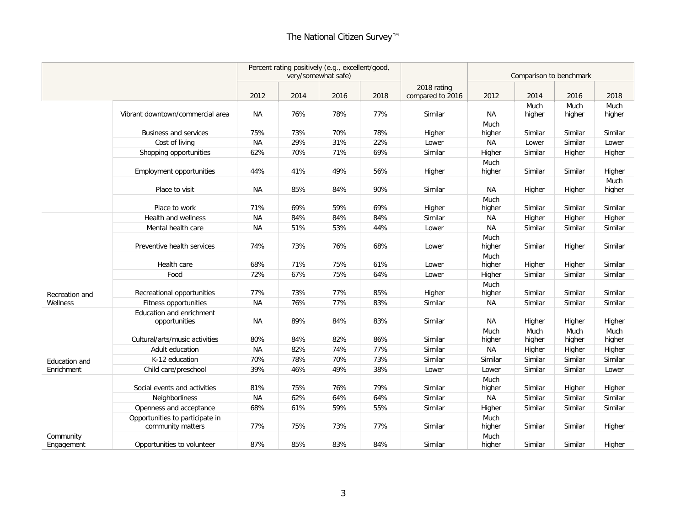|                         |                                           |           | Percent rating positively (e.g., excellent/good, | very/somewhat safe) |      |                                 |                | Comparison to benchmark |                |                |
|-------------------------|-------------------------------------------|-----------|--------------------------------------------------|---------------------|------|---------------------------------|----------------|-------------------------|----------------|----------------|
|                         |                                           | 2012      | 2014                                             | 2016                | 2018 | 2018 rating<br>compared to 2016 | 2012           | 2014                    | 2016           | 2018           |
|                         | Vibrant downtown/commercial area          | ΝA        | 76%                                              | 78%                 | 77%  | Similar                         | NА             | Much<br>higher          | Much<br>higher | Much<br>higher |
|                         | <b>Business and services</b>              | 75%       | 73%                                              | 70%                 | 78%  | Higher                          | Much<br>higher | Similar                 | Similar        | Similar        |
|                         | Cost of living                            | <b>NA</b> | 29%                                              | 31%                 | 22%  | Lower                           | <b>NA</b>      | Lower                   | Similar        | Lower          |
|                         | Shopping opportunities                    | 62%       | 70%                                              | 71%                 | 69%  | Similar                         | Higher         | Similar                 | Higher         | Higher         |
|                         | <b>Employment opportunities</b>           | 44%       | 41%                                              | 49%                 | 56%  | Higher                          | Much<br>higher | Similar                 | Similar        | Higher         |
|                         | Place to visit                            | <b>NA</b> | 85%                                              | 84%                 | 90%  | Similar                         | <b>NA</b>      | Higher                  | Higher         | Much<br>higher |
|                         | Place to work                             | 71%       | 69%                                              | 59%                 | 69%  | Higher                          | Much<br>higher | Similar                 | Similar        | Similar        |
|                         | Health and wellness                       | <b>NA</b> | 84%                                              | 84%                 | 84%  | Similar                         | NА             | Higher                  | Higher         | Higher         |
|                         | Mental health care                        | <b>NA</b> | 51%                                              | 53%                 | 44%  | Lower                           | <b>NA</b>      | Similar                 | Similar        | Similar        |
|                         | Preventive health services                | 74%       | 73%                                              | 76%                 | 68%  | Lower                           | Much<br>higher | Similar                 | Higher         | Similar        |
|                         | Health care                               | 68%       | 71%                                              | 75%                 | 61%  | Lower                           | Much<br>higher | Higher                  | Higher         | Similar        |
|                         | Food                                      | 72%       | 67%                                              | 75%                 | 64%  | Lower                           | Higher         | Similar                 | Similar        | Similar        |
|                         |                                           |           |                                                  |                     |      |                                 | Much           |                         |                |                |
| Recreation and          | Recreational opportunities                | 77%       | 73%                                              | 77%                 | 85%  | Higher                          | higher         | Similar                 | Similar        | Similar        |
| Wellness                | Fitness opportunities                     | <b>NA</b> | 76%                                              | 77%                 | 83%  | Similar                         | <b>NA</b>      | Similar                 | Similar        | Similar        |
|                         | Education and enrichment<br>opportunities | <b>NA</b> | 89%                                              | 84%                 | 83%  | Similar                         | <b>NA</b>      | Higher                  | Higher         | Higher         |
|                         | Cultural/arts/music activities            | 80%       | 84%                                              | 82%                 | 86%  | Similar                         | Much<br>higher | Much<br>higher          | Much<br>higher | Much<br>higher |
|                         | Adult education                           | <b>NA</b> | 82%                                              | 74%                 | 77%  | Similar                         | <b>NA</b>      | Higher                  | Higher         | Higher         |
| Education and           | K-12 education                            | 70%       | 78%                                              | 70%                 | 73%  | Similar                         | Similar        | Similar                 | Similar        | Similar        |
| Enrichment              | Child care/preschool                      | 39%       | 46%                                              | 49%                 | 38%  | Lower                           | Lower          | Similar                 | Similar        | Lower          |
|                         | Social events and activities              | 81%       | 75%                                              | 76%                 | 79%  | Similar                         | Much<br>higher | Similar                 | Higher         | Higher         |
|                         | Neighborliness                            | <b>NA</b> | 62%                                              | 64%                 | 64%  | Similar                         | <b>NA</b>      | Similar                 | Similar        | Similar        |
|                         | Openness and acceptance                   | 68%       | 61%                                              | 59%                 | 55%  | Similar                         | Higher         | Similar                 | Similar        | Similar        |
|                         | Opportunities to participate in           |           |                                                  |                     |      |                                 | Much           |                         |                |                |
|                         | community matters                         | 77%       | 75%                                              | 73%                 | 77%  | Similar                         | higher         | Similar                 | Similar        | Higher         |
| Community<br>Engagement | Opportunities to volunteer                | 87%       | 85%                                              | 83%                 | 84%  | Similar                         | Much<br>higher | Similar                 | Similar        | Higher         |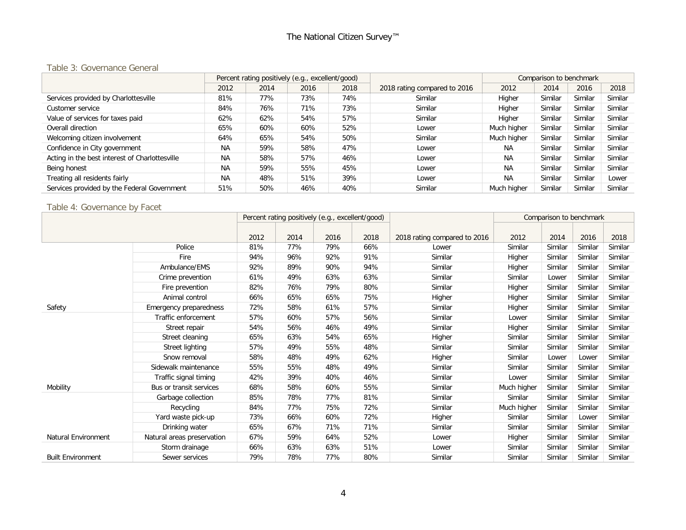### Table 3: Governance General

|                                                |           |      | Percent rating positively (e.g., excellent/good) |      |                              | Comparison to benchmark |         |         |         |
|------------------------------------------------|-----------|------|--------------------------------------------------|------|------------------------------|-------------------------|---------|---------|---------|
|                                                | 2012      | 2014 | 2016                                             | 2018 | 2018 rating compared to 2016 | 2012                    | 2014    | 2016    | 2018    |
| Services provided by Charlottesville           | 81%       | 77%  | 73%                                              | 74%  | Similar                      | Higher                  | Similar | Similar | Similar |
| Customer service                               | 84%       | 76%  | 71%                                              | 73%  | Similar                      | Higher                  | Similar | Similar | Similar |
| Value of services for taxes paid               | 62%       | 62%  | 54%                                              | 57%  | Similar                      | Higher                  | Similar | Similar | Similar |
| Overall direction                              | 65%       | 60%  | 60%                                              | 52%  | Lower                        | Much higher             | Similar | Similar | Similar |
| Welcoming citizen involvement                  | 64%       | 65%  | 54%                                              | 50%  | Similar                      | Much higher             | Similar | Similar | Similar |
| Confidence in City government                  | <b>NA</b> | 59%  | 58%                                              | 47%  | Lower                        | <b>NA</b>               | Similar | Similar | Similar |
| Acting in the best interest of Charlottesville | <b>NA</b> | 58%  | 57%                                              | 46%  | Lower                        | <b>NA</b>               | Similar | Similar | Similar |
| Being honest                                   | <b>NA</b> | 59%  | 55%                                              | 45%  | Lower                        | <b>NA</b>               | Similar | Similar | Similar |
| Treating all residents fairly                  | <b>NA</b> | 48%  | 51%                                              | 39%  | Lower                        | <b>NA</b>               | Similar | Similar | Lower   |
| Services provided by the Federal Government    | 51%       | 50%  | 46%                                              | 40%  | Similar                      | Much hiaher             | Similar | Similar | Similar |

## Table 4: Governance by Facet

|                            |                            | Percent rating positively (e.g., excellent/good) |      |      |      |                              | Comparison to benchmark |         |         |         |
|----------------------------|----------------------------|--------------------------------------------------|------|------|------|------------------------------|-------------------------|---------|---------|---------|
|                            |                            |                                                  |      |      |      |                              |                         |         |         |         |
|                            |                            | 2012                                             | 2014 | 2016 | 2018 | 2018 rating compared to 2016 | 2012                    | 2014    | 2016    | 2018    |
|                            | Police                     | 81%                                              | 77%  | 79%  | 66%  | Lower                        | Similar                 | Similar | Similar | Similar |
|                            | Fire                       | 94%                                              | 96%  | 92%  | 91%  | Similar                      | Higher                  | Similar | Similar | Similar |
|                            | Ambulance/EMS              | 92%                                              | 89%  | 90%  | 94%  | Similar                      | Higher                  | Similar | Similar | Similar |
|                            | Crime prevention           | 61%                                              | 49%  | 63%  | 63%  | Similar                      | Similar                 | Lower   | Similar | Similar |
|                            | Fire prevention            | 82%                                              | 76%  | 79%  | 80%  | Similar                      | Higher                  | Similar | Similar | Similar |
|                            | Animal control             | 66%                                              | 65%  | 65%  | 75%  | Higher                       | Higher                  | Similar | Similar | Similar |
| Safety                     | Emergency preparedness     | 72%                                              | 58%  | 61%  | 57%  | Similar                      | Higher                  | Similar | Similar | Similar |
|                            | Traffic enforcement        | 57%                                              | 60%  | 57%  | 56%  | Similar                      | Lower                   | Similar | Similar | Similar |
|                            | Street repair              | 54%                                              | 56%  | 46%  | 49%  | Similar                      | Higher                  | Similar | Similar | Similar |
|                            | Street cleaning            | 65%                                              | 63%  | 54%  | 65%  | Higher                       | Similar                 | Similar | Similar | Similar |
|                            | Street lighting            | 57%                                              | 49%  | 55%  | 48%  | Similar                      | Similar                 | Similar | Similar | Similar |
|                            | Snow removal               | 58%                                              | 48%  | 49%  | 62%  | Higher                       | Similar                 | Lower   | Lower   | Similar |
|                            | Sidewalk maintenance       | 55%                                              | 55%  | 48%  | 49%  | Similar                      | Similar                 | Similar | Similar | Similar |
|                            | Traffic signal timing      | 42%                                              | 39%  | 40%  | 46%  | Similar                      | Lower                   | Similar | Similar | Similar |
| Mobility                   | Bus or transit services    | 68%                                              | 58%  | 60%  | 55%  | Similar                      | Much higher             | Similar | Similar | Similar |
|                            | Garbage collection         | 85%                                              | 78%  | 77%  | 81%  | Similar                      | Similar                 | Similar | Similar | Similar |
|                            | Recycling                  | 84%                                              | 77%  | 75%  | 72%  | Similar                      | Much higher             | Similar | Similar | Similar |
|                            | Yard waste pick-up         | 73%                                              | 66%  | 60%  | 72%  | Higher                       | Similar                 | Similar | Lower   | Similar |
|                            | Drinking water             | 65%                                              | 67%  | 71%  | 71%  | Similar                      | Similar                 | Similar | Similar | Similar |
| <b>Natural Environment</b> | Natural areas preservation | 67%                                              | 59%  | 64%  | 52%  | Lower                        | Higher                  | Similar | Similar | Similar |
|                            | Storm drainage             | 66%                                              | 63%  | 63%  | 51%  | Lower                        | Similar                 | Similar | Similar | Similar |
| <b>Built Environment</b>   | Sewer services             | 79%                                              | 78%  | 77%  | 80%  | Similar                      | Similar                 | Similar | Similar | Similar |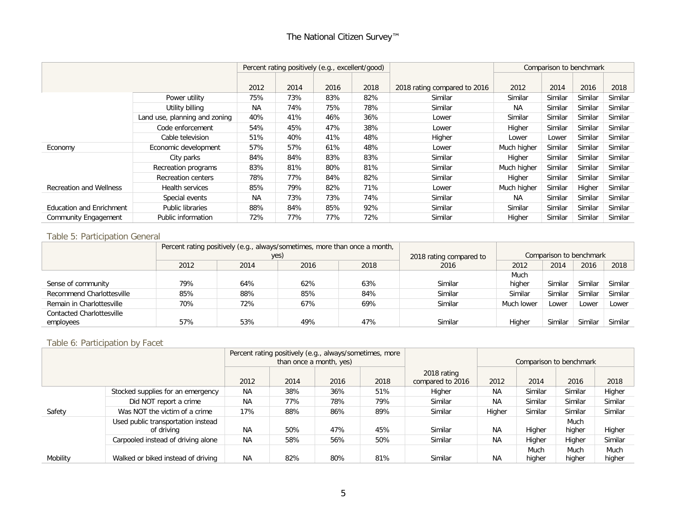## The National Citizen Survey™

|                                 |                               |           |      | Percent rating positively (e.g., excellent/good) |      |                              |             | Comparison to benchmark |         |         |
|---------------------------------|-------------------------------|-----------|------|--------------------------------------------------|------|------------------------------|-------------|-------------------------|---------|---------|
|                                 |                               |           |      |                                                  |      |                              |             |                         |         |         |
|                                 |                               | 2012      | 2014 | 2016                                             | 2018 | 2018 rating compared to 2016 | 2012        | 2014                    | 2016    | 2018    |
|                                 | Power utility                 | 75%       | 73%  | 83%                                              | 82%  | Similar                      | Similar     | Similar                 | Similar | Similar |
|                                 | Utility billing               | <b>NA</b> | 74%  | 75%                                              | 78%  | Similar                      | NА          | Similar                 | Similar | Similar |
|                                 | Land use, planning and zoning | 40%       | 41%  | 46%                                              | 36%  | Lower                        | Similar     | Similar                 | Similar | Similar |
|                                 | Code enforcement              | 54%       | 45%  | 47%                                              | 38%  | Lower                        | Higher      | Similar                 | Similar | Similar |
|                                 | Cable television              | 51%       | 40%  | 41%                                              | 48%  | Higher                       | Lower       | Lower                   | Similar | Similar |
| Economy                         | Economic development          | 57%       | 57%  | 61%                                              | 48%  | Lower                        | Much higher | Similar                 | Similar | Similar |
|                                 | City parks                    | 84%       | 84%  | 83%                                              | 83%  | Similar                      | Higher      | Similar                 | Similar | Similar |
|                                 | Recreation programs           | 83%       | 81%  | 80%                                              | 81%  | Similar                      | Much higher | Similar                 | Similar | Similar |
|                                 | Recreation centers            | 78%       | 77%  | 84%                                              | 82%  | Similar                      | Higher      | Similar                 | Similar | Similar |
| <b>Recreation and Wellness</b>  | Health services               | 85%       | 79%  | 82%                                              | 71%  | Lower                        | Much higher | Similar                 | Higher  | Similar |
|                                 | Special events                | <b>NA</b> | 73%  | 73%                                              | 74%  | Similar                      | NA.         | Similar                 | Similar | Similar |
| <b>Education and Enrichment</b> | <b>Public libraries</b>       | 88%       | 84%  | 85%                                              | 92%  | Similar                      | Similar     | Similar                 | Similar | Similar |
| Community Engagement            | Public information            | 72%       | 77%  | 77%                                              | 72%  | Similar                      | Higher      | Similar                 | Similar | Similar |

#### Table 5: Participation General

|                                  |      |      | Percent rating positively (e.g., always/sometimes, more than once a month, |      |                                                    |            |         |         |         |  |
|----------------------------------|------|------|----------------------------------------------------------------------------|------|----------------------------------------------------|------------|---------|---------|---------|--|
|                                  |      |      | yes)                                                                       |      | Comparison to benchmark<br>2018 rating compared to |            |         |         |         |  |
|                                  | 2012 | 2014 | 2016                                                                       | 2018 | 2016                                               | 2012       | 2014    | 2016    | 2018    |  |
|                                  |      |      |                                                                            |      |                                                    | Much       |         |         |         |  |
| Sense of community               | 79%  | 64%  | 62%                                                                        | 63%  | Similar                                            | higher     | Similar | Similar | Similar |  |
| Recommend Charlottesville        | 85%  | 88%  | 85%                                                                        | 84%  | Similar                                            | Similar    | Similar | Similar | Similar |  |
| Remain in Charlottesville        | 70%  | 72%  | 67%                                                                        | 69%  | Similar                                            | Much lower | Lower   | Lower   | Lower   |  |
| <b>Contacted Charlottesville</b> |      |      |                                                                            |      |                                                    |            |         |         |         |  |
| employees                        | 57%  | 53%  | 49%                                                                        | 47%  | Similar                                            | Higher     | Similar | Similar | Similar |  |

## Table 6: Participation by Facet

|          |                                                  |           | Percent rating positively (e.g., always/sometimes, more |                         |      |                                 |           |                |                         |                |
|----------|--------------------------------------------------|-----------|---------------------------------------------------------|-------------------------|------|---------------------------------|-----------|----------------|-------------------------|----------------|
|          |                                                  |           |                                                         | than once a month, yes) |      |                                 |           |                | Comparison to benchmark |                |
|          |                                                  | 2012      | 2014                                                    | 2016                    | 2018 | 2018 rating<br>compared to 2016 | 2012      | 2014           | 2016                    | 2018           |
|          | Stocked supplies for an emergency                | <b>NA</b> | 38%                                                     | 36%                     | 51%  | Higher                          | NA.       | Similar        | Similar                 | Higher         |
|          | Did NOT report a crime                           | <b>NA</b> | 77%                                                     | 78%                     | 79%  | Similar                         | NA.       | Similar        | Similar                 | Similar        |
| Safety   | Was NOT the victim of a crime                    | 17%       | 88%                                                     | 86%                     | 89%  | Similar                         | Higher    | Similar        | Similar                 | Similar        |
|          | Used public transportation instead<br>of driving | <b>NA</b> | 50%                                                     | 47%                     | 45%  | Similar                         | <b>NA</b> | Higher         | Much<br>higher          | Higher         |
|          | Carpooled instead of driving alone               | <b>NA</b> | 58%                                                     | 56%                     | 50%  | Similar                         | <b>NA</b> | Higher         | Higher                  | Similar        |
| Mobility | Walked or biked instead of driving               | <b>NA</b> | 82%                                                     | 80%                     | 81%  | Similar                         | <b>NA</b> | Much<br>higher | Much<br>higher          | Much<br>higher |